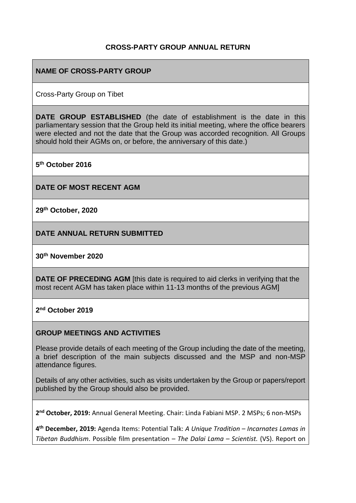### **CROSS-PARTY GROUP ANNUAL RETURN**

### **NAME OF CROSS-PARTY GROUP**

Cross-Party Group on Tibet

**DATE GROUP ESTABLISHED** (the date of establishment is the date in this parliamentary session that the Group held its initial meeting, where the office bearers were elected and not the date that the Group was accorded recognition. All Groups should hold their AGMs on, or before, the anniversary of this date.)

**5 th October 2016**

**DATE OF MOST RECENT AGM**

**29th October, 2020**

**DATE ANNUAL RETURN SUBMITTED**

#### **30th November 2020**

**DATE OF PRECEDING AGM** [this date is required to aid clerks in verifying that the most recent AGM has taken place within 11-13 months of the previous AGM]

**2 nd October 2019**

#### **GROUP MEETINGS AND ACTIVITIES**

Please provide details of each meeting of the Group including the date of the meeting, a brief description of the main subjects discussed and the MSP and non-MSP attendance figures.

Details of any other activities, such as visits undertaken by the Group or papers/report published by the Group should also be provided.

**2 nd October, 2019:** Annual General Meeting. Chair: Linda Fabiani MSP. 2 MSPs; 6 non-MSPs

**4 th December, 2019:** Agenda Items: Potential Talk: *A Unique Tradition – Incarnates Lamas in Tibetan Buddhism*. Possible film presentation – *The Dalai Lama – Scientist.* (VS). Report on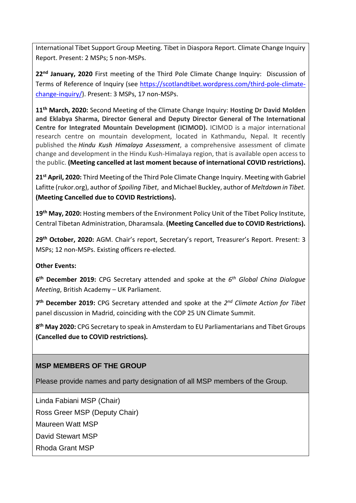International Tibet Support Group Meeting. Tibet in Diaspora Report. Climate Change Inquiry Report. Present: 2 MSPs; 5 non-MSPs.

**22nd January, 2020** First meeting of the Third Pole Climate Change Inquiry: Discussion of Terms of Reference of Inquiry (see [https://scotlandtibet.wordpress.com/third-pole-climate](https://scotlandtibet.wordpress.com/third-pole-climate-change-inquiry/)[change-inquiry/\)](https://scotlandtibet.wordpress.com/third-pole-climate-change-inquiry/). Present: 3 MSPs, 17 non-MSPs.

**11th March, 2020:** Second Meeting of the Climate Change Inquiry: **Hosting Dr David Molden and Eklabya Sharma, Director General and Deputy Director General of The International Centre for Integrated Mountain Development (ICIMOD).** ICIMOD is a major international research centre on mountain development, located in Kathmandu, Nepal. It recently published the *Hindu Kush Himalaya Assessment*, a comprehensive assessment of climate change and development in the Hindu Kush-Himalaya region, that is available open access to the public. **(Meeting cancelled at last moment because of international COVID restrictions).**

**21st April, 2020:** Third Meeting of the Third Pole Climate Change Inquiry. Meeting with Gabriel Lafitte (rukor.org), author of *Spoiling Tibet*, and Michael Buckley, author of *Meltdown in Tibet.* **(Meeting Cancelled due to COVID Restrictions).**

**19th May, 2020:** Hosting members of the Environment Policy Unit of the Tibet Policy Institute, Central Tibetan Administration, Dharamsala. **(Meeting Cancelled due to COVID Restrictions).**

**29th October, 2020:** AGM. Chair's report, Secretary's report, Treasurer's Report. Present: 3 MSPs; 12 non-MSPs. Existing officers re-elected.

### **Other Events:**

**6 th December 2019:** CPG Secretary attended and spoke at the *6 th Global China Dialogue Meeting*, British Academy – UK Parliament.

**7 th December 2019:** CPG Secretary attended and spoke at the *2 nd Climate Action for Tibet* panel discussion in Madrid, coinciding with the COP 25 UN Climate Summit.

**8 th May 2020:** CPG Secretary to speak in Amsterdam to EU Parliamentarians and Tibet Groups **(Cancelled due to COVID restrictions).**

### **MSP MEMBERS OF THE GROUP**

Please provide names and party designation of all MSP members of the Group.

Linda Fabiani MSP (Chair)

Ross Greer MSP (Deputy Chair)

Maureen Watt MSP

David Stewart MSP

Rhoda Grant MSP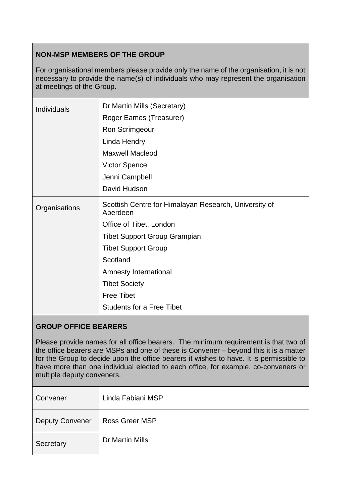## **NON-MSP MEMBERS OF THE GROUP**

For organisational members please provide only the name of the organisation, it is not necessary to provide the name(s) of individuals who may represent the organisation at meetings of the Group.

| Dr Martin Mills (Secretary)                                       |
|-------------------------------------------------------------------|
| Roger Eames (Treasurer)                                           |
| Ron Scrimgeour                                                    |
| Linda Hendry                                                      |
| <b>Maxwell Macleod</b>                                            |
| <b>Victor Spence</b>                                              |
| Jenni Campbell                                                    |
| David Hudson                                                      |
| Scottish Centre for Himalayan Research, University of<br>Aberdeen |
| Office of Tibet, London                                           |
| <b>Tibet Support Group Grampian</b>                               |
| <b>Tibet Support Group</b>                                        |
| Scotland                                                          |
| Amnesty International                                             |
| <b>Tibet Society</b>                                              |
| <b>Free Tibet</b>                                                 |
| <b>Students for a Free Tibet</b>                                  |
|                                                                   |

### **GROUP OFFICE BEARERS**

Please provide names for all office bearers. The minimum requirement is that two of the office bearers are MSPs and one of these is Convener – beyond this it is a matter for the Group to decide upon the office bearers it wishes to have. It is permissible to have more than one individual elected to each office, for example, co-conveners or multiple deputy conveners.

| Convener               | Linda Fabiani MSP     |
|------------------------|-----------------------|
| <b>Deputy Convener</b> | <b>Ross Greer MSP</b> |
| Secretary              | Dr Martin Mills       |